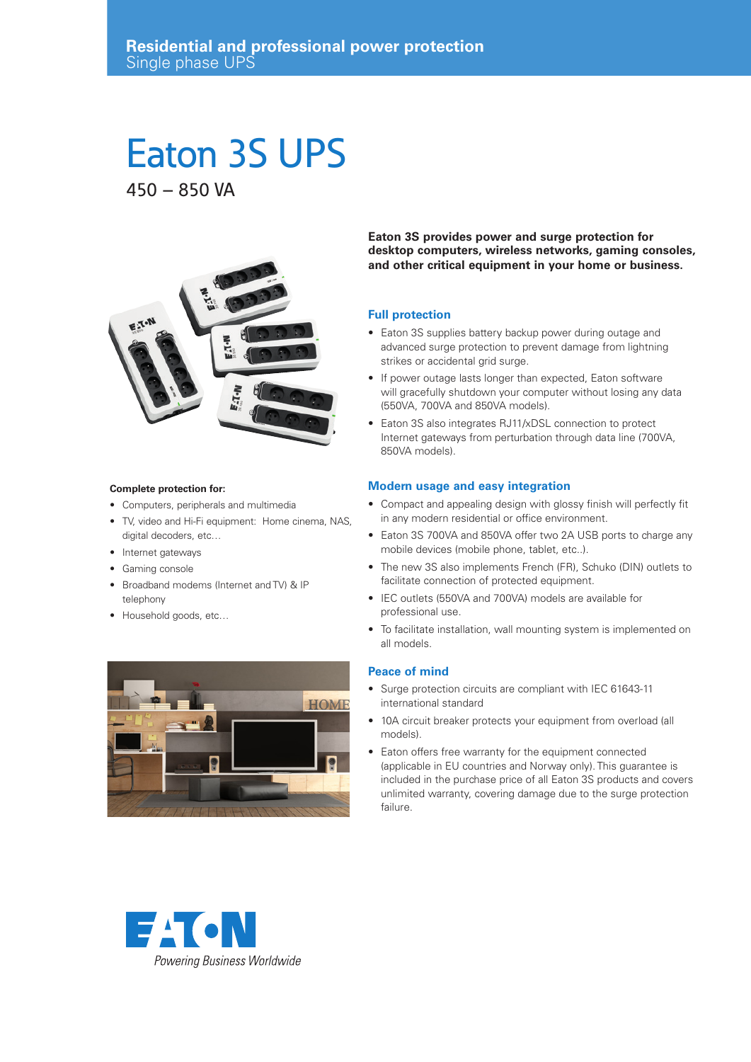# Eaton 3S UPS

450 – 850 VA



#### **Complete protection for:**

- Computers, peripherals and multimedia
- TV, video and Hi-Fi equipment: Home cinema, NAS, digital decoders, etc…
- Internet gateways
- Gaming console
- Broadband modems (Internet and TV) & IP telephony
- Household goods, etc…



**Eaton 3S provides power and surge protection for desktop computers, wireless networks, gaming consoles, and other critical equipment in your home or business.**

#### **Full protection**

- Eaton 3S supplies battery backup power during outage and advanced surge protection to prevent damage from lightning strikes or accidental grid surge.
- If power outage lasts longer than expected, Eaton software will gracefully shutdown your computer without losing any data (550VA, 700VA and 850VA models).
- Eaton 3S also integrates RJ11/xDSL connection to protect Internet gateways from perturbation through data line (700VA, 850VA models).

## **Modern usage and easy integration**

- Compact and appealing design with glossy finish will perfectly fit in any modern residential or office environment.
- Eaton 3S 700VA and 850VA offer two 2A USB ports to charge any mobile devices (mobile phone, tablet, etc..).
- The new 3S also implements French (FR), Schuko (DIN) outlets to facilitate connection of protected equipment.
- IEC outlets (550VA and 700VA) models are available for professional use.
- To facilitate installation, wall mounting system is implemented on all models.

## **Peace of mind**

- Surge protection circuits are compliant with IEC 61643-11 international standard
- 10A circuit breaker protects your equipment from overload (all models).
- Eaton offers free warranty for the equipment connected (applicable in EU countries and Norway only). This guarantee is included in the purchase price of all Eaton 3S products and covers unlimited warranty, covering damage due to the surge protection failure.